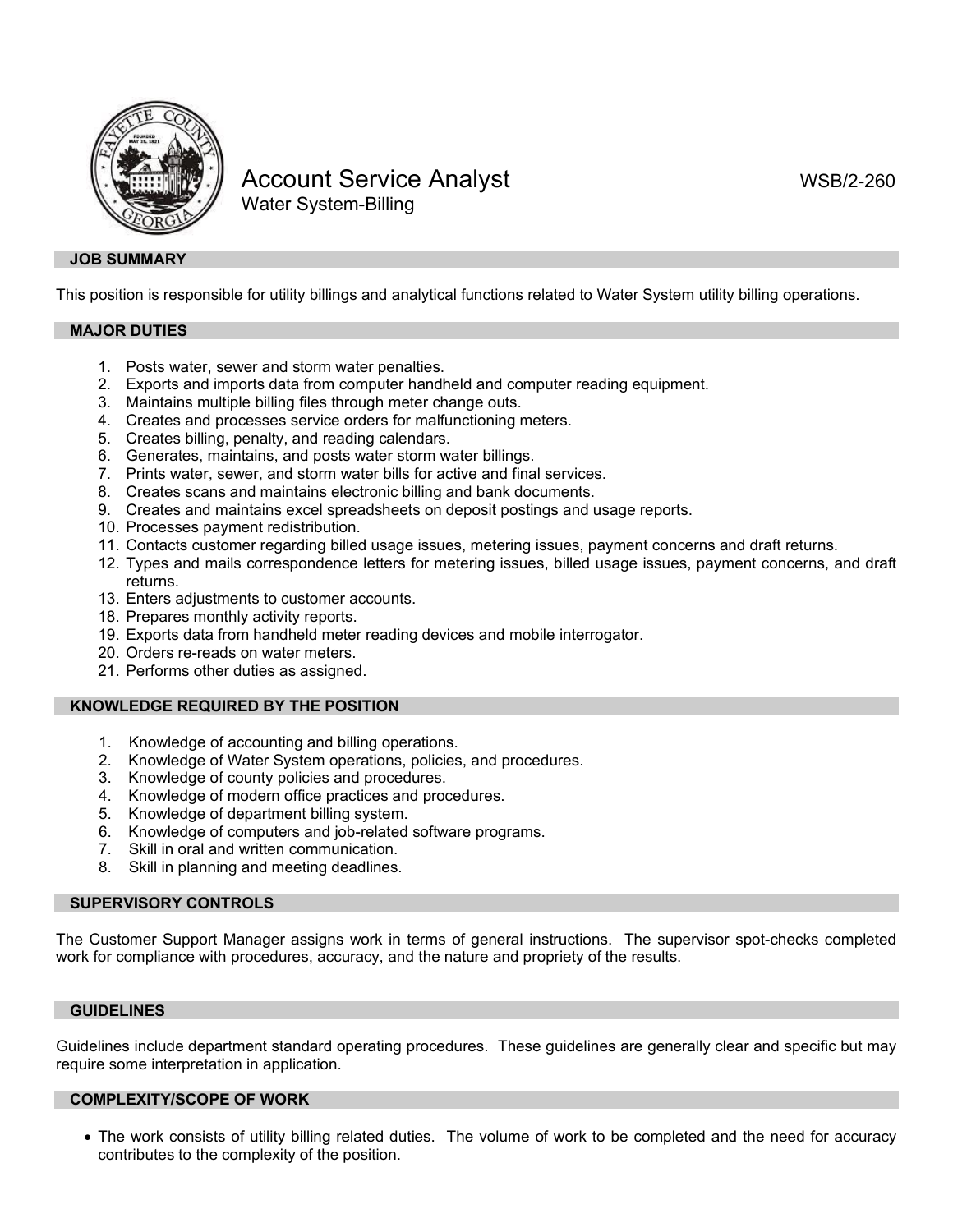

# Account Service Analyst New York WSB/2-260 Water System-Billing

# **JOB SUMMARY**

This position is responsible for utility billings and analytical functions related to Water System utility billing operations.

# **MAJOR DUTIES**

- 1. Posts water, sewer and storm water penalties.
- 2. Exports and imports data from computer handheld and computer reading equipment.
- 3. Maintains multiple billing files through meter change outs.
- 4. Creates and processes service orders for malfunctioning meters.
- 5. Creates billing, penalty, and reading calendars.
- 6. Generates, maintains, and posts water storm water billings.
- 7. Prints water, sewer, and storm water bills for active and final services.
- 8. Creates scans and maintains electronic billing and bank documents.
- 9. Creates and maintains excel spreadsheets on deposit postings and usage reports.
- 10. Processes payment redistribution.
- 11. Contacts customer regarding billed usage issues, metering issues, payment concerns and draft returns.
- 12. Types and mails correspondence letters for metering issues, billed usage issues, payment concerns, and draft returns.
- 13. Enters adjustments to customer accounts.
- 18. Prepares monthly activity reports.
- 19. Exports data from handheld meter reading devices and mobile interrogator.
- 20. Orders re-reads on water meters.
- 21. Performs other duties as assigned.

# **KNOWLEDGE REQUIRED BY THE POSITION**

- 1. Knowledge of accounting and billing operations.
- 2. Knowledge of Water System operations, policies, and procedures.
- Knowledge of county policies and procedures.
- 4. Knowledge of modern office practices and procedures.
- 5. Knowledge of department billing system.
- 6. Knowledge of computers and job-related software programs.
- 7. Skill in oral and written communication.
- 8. Skill in planning and meeting deadlines.

# **SUPERVISORY CONTROLS**

The Customer Support Manager assigns work in terms of general instructions. The supervisor spot-checks completed work for compliance with procedures, accuracy, and the nature and propriety of the results.

# **GUIDELINES**

Guidelines include department standard operating procedures. These guidelines are generally clear and specific but may require some interpretation in application.

# **COMPLEXITY/SCOPE OF WORK**

• The work consists of utility billing related duties. The volume of work to be completed and the need for accuracy contributes to the complexity of the position.